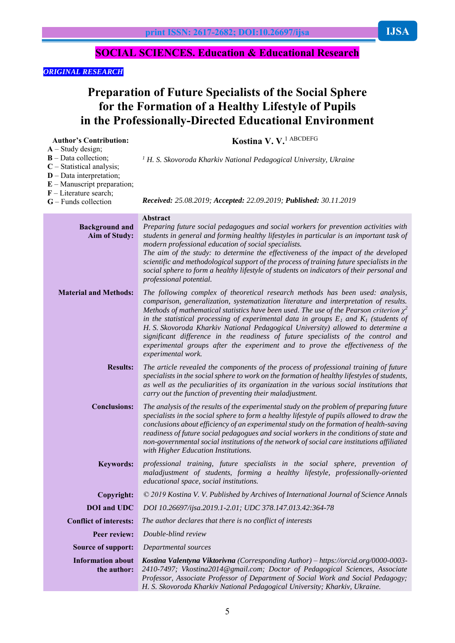# *ORIGINAL RESEARCH*

**Author's Contribution:**

# **Preparation of Future Specialists of the Social Sphere for the Formation of a Healthy Lifestyle of Pupils in the Professionally-Directed Educational Environment**

**Kostina V. V.**1 АВСDEFG

| $A - Study design;$<br>$B$ – Data collection;<br>$C$ – Statistical analysis;<br>$D$ – Data interpretation;<br>$E$ – Manuscript preparation;<br>$F$ – Literature search;<br>$G$ – Funds collection | <sup>1</sup> H. S. Skovoroda Kharkiv National Pedagogical University, Ukraine<br>Received: 25.08.2019; Accepted: 22.09.2019; Published: 30.11.2019                                                                                                                                                                                                                                                                                                                                                                                                                                                                                                  |
|---------------------------------------------------------------------------------------------------------------------------------------------------------------------------------------------------|-----------------------------------------------------------------------------------------------------------------------------------------------------------------------------------------------------------------------------------------------------------------------------------------------------------------------------------------------------------------------------------------------------------------------------------------------------------------------------------------------------------------------------------------------------------------------------------------------------------------------------------------------------|
| <b>Background and</b><br><b>Aim of Study:</b>                                                                                                                                                     | Abstract<br>Preparing future social pedagogues and social workers for prevention activities with<br>students in general and forming healthy lifestyles in particular is an important task of<br>modern professional education of social specialists.<br>The aim of the study: to determine the effectiveness of the impact of the developed<br>scientific and methodological support of the process of training future specialists in the<br>social sphere to form a healthy lifestyle of students on indicators of their personal and<br>professional potential.                                                                                   |
| <b>Material and Methods:</b>                                                                                                                                                                      | The following complex of theoretical research methods has been used: analysis,<br>comparison, generalization, systematization literature and interpretation of results.<br>Methods of mathematical statistics have been used. The use of the Pearson criterion $\chi^2$<br>in the statistical processing of experimental data in groups $E_1$ and $K_1$ (students of<br>H. S. Skovoroda Kharkiv National Pedagogical University) allowed to determine a<br>significant difference in the readiness of future specialists of the control and<br>experimental groups after the experiment and to prove the effectiveness of the<br>experimental work. |
| <b>Results:</b>                                                                                                                                                                                   | The article revealed the components of the process of professional training of future<br>specialists in the social sphere to work on the formation of healthy lifestyles of students,<br>as well as the peculiarities of its organization in the various social institutions that<br>carry out the function of preventing their maladjustment.                                                                                                                                                                                                                                                                                                      |
| <b>Conclusions:</b>                                                                                                                                                                               | The analysis of the results of the experimental study on the problem of preparing future<br>specialists in the social sphere to form a healthy lifestyle of pupils allowed to draw the<br>conclusions about efficiency of an experimental study on the formation of health-saving<br>readiness of future social pedagogues and social workers in the conditions of state and<br>non-governmental social institutions of the network of social care institutions affiliated<br>with Higher Education Institutions.                                                                                                                                   |
| <b>Keywords:</b>                                                                                                                                                                                  | professional training, future specialists in the social sphere, prevention of<br>maladjustment of students, forming a healthy lifestyle, professionally-oriented<br>educational space, social institutions.                                                                                                                                                                                                                                                                                                                                                                                                                                         |
| Copyright:                                                                                                                                                                                        | © 2019 Kostina V. V. Published by Archives of International Journal of Science Annals                                                                                                                                                                                                                                                                                                                                                                                                                                                                                                                                                               |
| <b>DOI</b> and UDC                                                                                                                                                                                | DOI 10.26697/ijsa.2019.1-2.01; UDC 378.147.013.42:364-78                                                                                                                                                                                                                                                                                                                                                                                                                                                                                                                                                                                            |
| <b>Conflict of interests:</b>                                                                                                                                                                     | The author declares that there is no conflict of interests                                                                                                                                                                                                                                                                                                                                                                                                                                                                                                                                                                                          |
| Peer review:                                                                                                                                                                                      | Double-blind review                                                                                                                                                                                                                                                                                                                                                                                                                                                                                                                                                                                                                                 |
| <b>Source of support:</b>                                                                                                                                                                         | Departmental sources                                                                                                                                                                                                                                                                                                                                                                                                                                                                                                                                                                                                                                |
| <b>Information about</b><br>the author:                                                                                                                                                           | Kostina Valentyna Viktorivna (Corresponding Author) – https://orcid.org/0000-0003-<br>2410-7497; Vkostina2014@gmail.com; Doctor of Pedagogical Sciences, Associate<br>Professor, Associate Professor of Department of Social Work and Social Pedagogy;<br>H. S. Skovoroda Kharkiv National Pedagogical University; Kharkiv, Ukraine.                                                                                                                                                                                                                                                                                                                |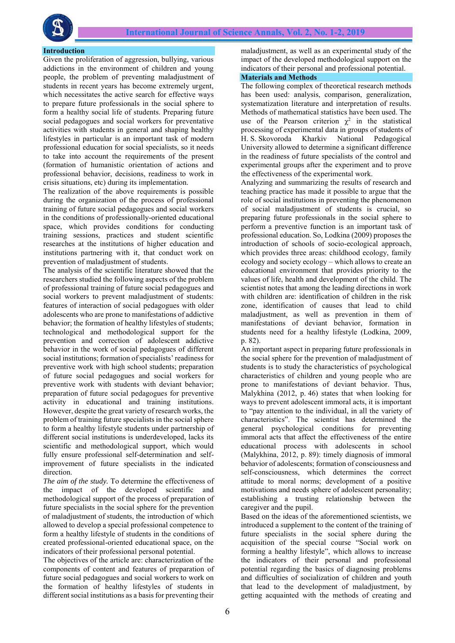

#### **Introduction**

Given the proliferation of aggression, bullying, various addictions in the environment of children and young people, the problem of preventing maladjustment of students in recent years has become extremely urgent, which necessitates the active search for effective ways to prepare future professionals in the social sphere to form a healthy social life of students. Preparing future social pedagogues and social workers for preventative activities with students in general and shaping healthy lifestyles in particular is an important task of modern professional education for social specialists, so it needs to take into account the requirements of the present (formation of humanistic orientation of actions and professional behavior, decisions, readiness to work in crisis situations, etc) during its implementation.

The realization of the above requirements is possible during the organization of the process of professional training of future social pedagogues and social workers in the conditions of professionally-oriented educational space, which provides conditions for conducting training sessions, practices and student scientific researches at the institutions of higher education and institutions partnering with it, that conduct work on prevention of maladjustment of students.

The analysis of the scientific literature showed that the researchers studied the following aspects of the problem of professional training of future social pedagogues and social workers to prevent maladjustment of students: features of interaction of social pedagogues with older adolescents who are prone to manifestations of addictive behavior; the formation of healthy lifestyles of students; technological and methodological support for the prevention and correction of adolescent addictive behavior in the work of social pedagogues of different social institutions; formation of specialists' readiness for preventive work with high school students; preparation of future social pedagogues and social workers for preventive work with students with deviant behavior; preparation of future social pedagogues for preventive activity in educational and training institutions. However, despite the great variety of research works, the problem of training future specialists in the social sphere to form a healthy lifestyle students under partnership of different social institutions is underdeveloped, lacks its scientific and methodological support, which would fully ensure professional self-determination and selfimprovement of future specialists in the indicated direction.

*The aim of the study.* To determine the effectiveness of the impact of the developed scientific and methodological support of the process of preparation of future specialists in the social sphere for the prevention of maladjustment of students, the introduction of which allowed to develop a special professional competence to form a healthy lifestyle of students in the conditions of created professional-oriented educational space, on the indicators of their professional personal potential.

The objectives of the article are: characterization of the components of content and features of preparation of future social pedagogues and social workers to work on the formation of healthy lifestyles of students in different social institutions as a basis for preventing their

maladjustment, as well as an experimental study of the impact of the developed methodological support on the indicators of their personal and professional potential. **Materials and Methods**

The following complex of theoretical research methods has been used: analysis, comparison, generalization, systematization literature and interpretation of results. Methods of mathematical statistics have been used. The use of the Pearson criterion  $\chi^2$  in the statistical processing of experimental data in groups of students of H. S. Skovoroda Kharkiv National Pedagogical University allowed to determine a significant difference in the readiness of future specialists of the control and experimental groups after the experiment and to prove the effectiveness of the experimental work.

Analyzing and summarizing the results of research and teaching practice has made it possible to argue that the role of social institutions in preventing the phenomenon of social maladjustment of students is crucial, so preparing future professionals in the social sphere to perform a preventive function is an important task of professional education. So, Lodkina (2009) proposes the introduction of schools of socio-ecological approach, which provides three areas: childhood ecology, family ecology and society ecology – which allows to create an educational environment that provides priority to the values of life, health and development of the child. The scientist notes that among the leading directions in work with children are: identification of children in the risk zone, identification of causes that lead to child maladjustment, as well as prevention in them of manifestations of deviant behavior, formation in students need for a healthy lifestyle (Lodkina, 2009, p. 82).

An important aspect in preparing future professionals in the social sphere for the prevention of maladjustment of students is to study the characteristics of psychological characteristics of children and young people who are prone to manifestations of deviant behavior. Thus, Malykhina (2012, p. 46) states that when looking for ways to prevent adolescent immoral acts, it is important to "pay attention to the individual, in all the variety of characteristics". The scientist has determined the general psychological conditions for preventing immoral acts that affect the effectiveness of the entire educational process with adolescents in school (Malykhina, 2012, p. 89): timely diagnosis of immoral behavior of adolescents; formation of consciousness and self-consciousness, which determines the correct attitude to moral norms; development of a positive motivations and needs sphere of adolescent personality; establishing a trusting relationship between the caregiver and the pupil.

Based on the ideas of the aforementioned scientists, we introduced a supplement to the content of the training of future specialists in the social sphere during the acquisition of the special course "Social work on forming a healthy lifestyle", which allows to increase the indicators of their personal and professional potential regarding the basics of diagnosing problems and difficulties of socialization of children and youth that lead to the development of maladjustment, by getting acquainted with the methods of creating and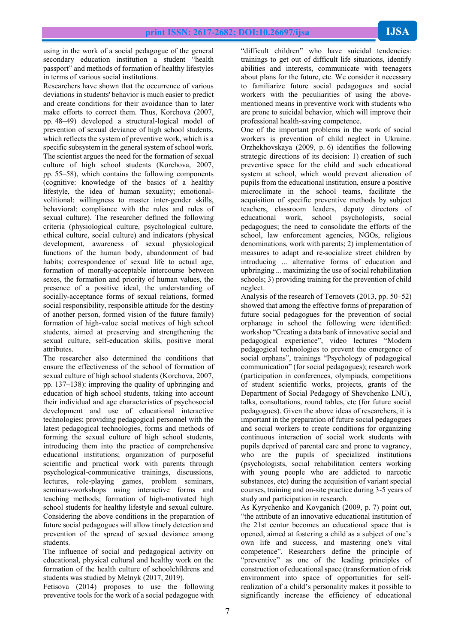using in the work of a social pedagogue of the general secondary education institution a student "health passport" and methods of formation of healthy lifestyles in terms of various social institutions.

Researchers have shown that the occurrence of various deviations in students' behavior is much easier to predict and create conditions for their avoidance than to later make efforts to correct them. Thus, Korchova (2007, pp. 48–49) developed a structural-logical model of prevention of sexual deviance of high school students, which reflects the system of preventive work, which is a specific subsystem in the general system of school work. The scientist argues the need for the formation of sexual culture of high school students (Korchova, 2007, pp. 55–58), which contains the following components (cognitive: knowledge of the basics of a healthy lifestyle, the idea of human sexuality; emotionalvolitional: willingness to master inter-gender skills, behavioral: compliance with the rules and rules of sexual culture). The researcher defined the following criteria (physiological culture, psychological culture, ethical culture, social culture) and indicators (physical development, awareness of sexual physiological functions of the human body, abandonment of bad habits; correspondence of sexual life to actual age, formation of morally-acceptable intercourse between sexes, the formation and priority of human values, the presence of a positive ideal, the understanding of socially-acceptance forms of sexual relations, formed social responsibility, responsible attitude for the destiny of another person, formed vision of the future family) formation of high-value social motives of high school students, aimed at preserving and strengthening the sexual culture, self-education skills, positive moral attributes.

The researcher also determined the conditions that ensure the effectiveness of the school of formation of sexual culture of high school students (Korchova, 2007, pp. 137–138): improving the quality of upbringing and education of high school students, taking into account their individual and age characteristics of psychosocial development and use of educational interactive technologies; providing pedagogical personnel with the latest pedagogical technologies, forms and methods of forming the sexual culture of high school students, introducing them into the practice of comprehensive educational institutions; organization of purposeful scientific and practical work with parents through psychological-communicative trainings, discussions, lectures, role-playing games, problem seminars, seminars-workshops using interactive forms and teaching methods; formation of high-motivated high school students for healthy lifestyle and sexual culture. Considering the above conditions in the preparation of future social pedagogues will allow timely detection and prevention of the spread of sexual deviance among students.

The influence of social and pedagogical activity on educational, physical cultural and healthy work on the formation of the health culture of schoolchildrens and students was studied by Melnyk (2017, 2019).

Fetisova (2014) proposes to use the following preventive tools for the work of a social pedagogue with

"difficult children" who have suicidal tendencies: trainings to get out of difficult life situations, identify abilities and interests, communicate with teenagers about plans for the future, etc. We consider it necessary to familiarize future social pedagogues and social workers with the peculiarities of using the abovementioned means in preventive work with students who are prone to suicidal behavior, which will improve their professional health-saving competence.

One of the important problems in the work of social workers is prevention of child neglect in Ukraine. Orzhekhovskaya (2009, p. 6) identifies the following strategic directions of its decision: 1) creation of such preventive space for the child and such educational system at school, which would prevent alienation of pupils from the educational institution, ensure a positive microclimate in the school teams, facilitate the acquisition of specific preventive methods by subject teachers, classroom leaders, deputy directors of educational work, school psychologists, social pedagogues; the need to consolidate the efforts of the school, law enforcement agencies, NGOs, religious denominations, work with parents; 2) implementation of measures to adapt and re-socialize street children by introducing ... alternative forms of education and upbringing ... maximizing the use of social rehabilitation schools; 3) providing training for the prevention of child neglect.

Analysis of the research of Ternovets (2013, pp. 50–52) showed that among the effective forms of preparation of future social pedagogues for the prevention of social orphanage in school the following were identified: workshop "Creating a data bank of innovative social and pedagogical experience", video lectures "Modern pedagogical technologies to prevent the emergence of social orphans", trainings "Psychology of pedagogical communication" (for social pedagogues); research work (participation in conferences, olympiads, competitions of student scientific works, projects, grants of the Department of Social Pedagogy of Shevchenko LNU), talks, consultations, round tables, etc (for future social pedagogues). Given the above ideas of researchers, it is important in the preparation of future social pedagogues and social workers to create conditions for organizing continuous interaction of social work students with pupils deprived of parental care and prone to vagrancy, who are the pupils of specialized institutions (psychologists, social rehabilitation centers working with young people who are addicted to narcotic substances, etc) during the acquisition of variant special courses, training and on-site practice during 3-5 years of study and participation in research.

As Kyrychenko and Kovganich (2009, p. 7) point out, "the attribute of an innovative educational institution of the 21st centur becomes an educational space that is opened, aimed at fostering a child as a subject of one's own life and success, and mastering one's vital competence". Researchers define the principle of "preventive" as one of the leading principles of construction of educational space (transformation of risk environment into space of opportunities for selfrealization of a child's personality makes it possible to significantly increase the efficiency of educational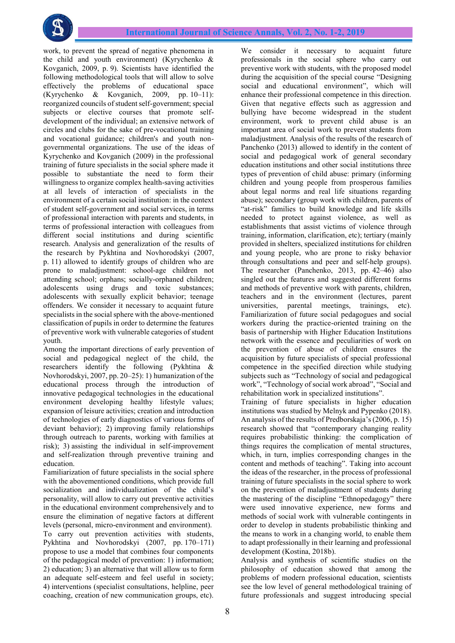

work, to prevent the spread of negative phenomena in the child and youth environment) (Kyrychenko & Kovganich, 2009, p. 9). Scientists have identified the following methodological tools that will allow to solve effectively the problems of educational space (Kyrychenko & Kovganich, 2009, pp. 10–11): reorganized councils of student self-government; special subjects or elective courses that promote selfdevelopment of the individual; an extensive network of circles and clubs for the sake of pre-vocational training and vocational guidance; children's and youth nongovernmental organizations. The use of the ideas of Kyrychenko and Kovganich (2009) in the professional training of future specialists in the social sphere made it possible to substantiate the need to form their willingness to organize complex health-saving activities at all levels of interaction of specialists in the environment of a certain social institution: in the context of student self-government and social services, in terms of professional interaction with parents and students, in terms of professional interaction with colleagues from different social institutions and during scientific research. Analysis and generalization of the results of the research by Pykhtina and Novhorodskyi (2007, p. 11) allowed to identify groups of children who are prone to maladjustment: school-age children not attending school; orphans; socially-orphaned children; adolescents using drugs and toxic substances; adolescents with sexually explicit behavior; teenage offenders. We consider it necessary to acquaint future specialists in the social sphere with the above-mentioned classification of pupils in order to determine the features of preventive work with vulnerable categories of student youth.

Among the important directions of early prevention of social and pedagogical neglect of the child, the researchers identify the following (Pykhtina & Novhorodskyi, 2007, pp. 20–25): 1) humanization of the educational process through the introduction of innovative pedagogical technologies in the educational environment developing healthy lifestyle values; expansion of leisure activities; creation and introduction of technologies of early diagnostics of various forms of deviant behavior); 2) improving family relationships through outreach to parents, working with families at risk); 3) assisting the individual in self-improvement and self-realization through preventive training and education.

Familiarization of future specialists in the social sphere with the abovementioned conditions, which provide full socialization and individualization of the child's personality, will allow to carry out preventive activities in the educational environment comprehensively and to ensure the elimination of negative factors at different levels (personal, micro-environment and environment). To carry out prevention activities with students, Pykhtina and Novhorodskyi (2007, pp. 170–171) propose to use a model that combines four components of the pedagogical model of prevention: 1) information; 2) education; 3) an alternative that will allow us to form an adequate self-esteem and feel useful in society; 4) interventions (specialist consultations, helpline, peer coaching, creation of new communication groups, etc).

We consider it necessary to acquaint future professionals in the social sphere who carry out preventive work with students, with the proposed model during the acquisition of the special course "Designing social and educational environment", which will enhance their professional competence in this direction. Given that negative effects such as aggression and bullying have become widespread in the student environment, work to prevent child abuse is an important area of social work to prevent students from maladjustment. Analysis of the results of the research of Panchenko (2013) allowed to identify in the content of social and pedagogical work of general secondary education institutions and other social institutions three types of prevention of child abuse: primary (informing children and young people from prosperous families about legal norms and real life situations regarding abuse); secondary (group work with children, parents of "at-risk" families to build knowledge and life skills needed to protect against violence, as well as establishments that assist victims of violence through training, information, clarification, etc); tertiary (mainly provided in shelters, specialized institutions for children and young people, who are prone to risky behavior through consultations and peer and self-help groups). The researcher (Panchenko, 2013, pp. 42–46) also singled out the features and suggested different forms and methods of preventive work with parents, children, teachers and in the environment (lectures, parent universities, parental meetings, trainings, etc). Familiarization of future social pedagogues and social workers during the practice-oriented training on the basis of partnership with Higher Education Institutions network with the essence and peculiarities of work on the prevention of abuse of children ensures the acquisition by future specialists of special professional competence in the specified direction while studying subjects such as "Technology of social and pedagogical work", "Technology of social work abroad", "Social and rehabilitation work in specialized institutions".

Training of future specialists in higher education institutions was studied by Melnyk and Pypenko (2018). An analysis of the results of Predborskaja's(2006, p. 15) research showed that "contemporary changing reality requires probabilistic thinking: the complication of things requires the complication of mental structures, which, in turn, implies corresponding changes in the content and methods of teaching". Taking into account the ideas of the researcher, in the process of professional training of future specialists in the social sphere to work on the prevention of maladjustment of students during the mastering of the discipline "Ethnopedagogy" there were used innovative experience, new forms and methods of social work with vulnerable contingents in order to develop in students probabilistic thinking and the means to work in a changing world, to enable them to adapt professionally in their learning and professional development (Kostina, 2018b).

Analysis and synthesis of scientific studies on the philosophy of education showed that among the problems of modern professional education, scientists see the low level of general methodological training of future professionals and suggest introducing special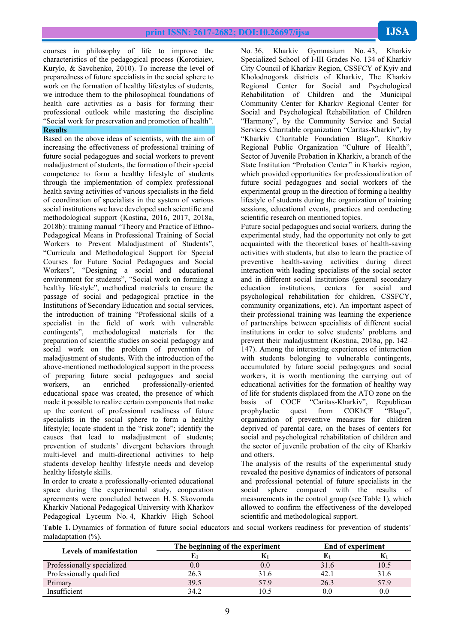courses in philosophy of life to improve the characteristics of the pedagogical process (Korotiaiev, Kurylo, & Savchenko, 2010). To increase the level of preparedness of future specialists in the social sphere to work on the formation of healthy lifestyles of students, we introduce them to the philosophical foundations of health care activities as a basis for forming their professional outlook while mastering the discipline "Social work for preservation and promotion of health".

# **Results**

Based on the above ideas of scientists, with the aim of increasing the effectiveness of professional training of future social pedagogues and social workers to prevent maladjustment of students, the formation of their special competence to form a healthy lifestyle of students through the implementation of complex professional health saving activities of various specialists in the field of coordination of specialists in the system of various social institutions we have developed such scientific and methodological support (Kostina, 2016, 2017, 2018a, 2018b): training manual "Theory and Practice of Ethno-Pedagogical Means in Professional Training of Social Workers to Prevent Maladjustment of Students", "Curricula and Methodological Support for Special Courses for Future Social Pedagogues and Social Workers", "Designing a social and educational environment for students", "Social work on forming a healthy lifestyle", methodical materials to ensure the passage of social and pedagogical practice in the Institutions of Secondary Education and social services, the introduction of training "Professional skills of a specialist in the field of work with vulnerable contingents", methodological materials for the preparation of scientific studies on social pedagogy and social work on the problem of prevention of maladjustment of students. With the introduction of the above-mentioned methodological support in the process of preparing future social pedagogues and social workers, an enriched professionally-oriented educational space was created, the presence of which made it possible to realize certain components that make up the content of professional readiness of future specialists in the social sphere to form a healthy lifestyle; locate student in the "risk zone"; identify the causes that lead to maladjustment of students; prevention of students' divergent behaviors through multi-level and multi-directional activities to help students develop healthy lifestyle needs and develop healthy lifestyle skills.

In order to create a professionally-oriented educational space during the experimental study, cooperation agreements were concluded between H. S. Skovoroda Kharkiv National Pedagogical University with Kharkov Pedagogical Lyceum No. 4, Kharkiv High School

No. 36, Kharkiv Gymnasium No. 43, Kharkiv Specialized School of І-ІІІ Grades No. 134 of Kharkiv City Council of Kharkiv Region, CSSFCY of Kyiv and Kholodnogorsk districts of Kharkiv, The Kharkiv Regional Center for Social and Psychological Rehabilitation of Children and the Municipal Community Center for Kharkiv Regional Center for Social and Psychological Rehabilitation of Children "Harmony", by the Community Service and Social Services Charitable organization "Caritas-Kharkiv", by "Kharkiv Charitable Foundation Blago", Kharkiv Regional Public Organization "Culture of Health", Sector of Juvenile Probation in Kharkiv, a branch of the State Institution "Probation Center" in Kharkiv region, which provided opportunities for professionalization of future social pedagogues and social workers of the experimental group in the direction of forming a healthy lifestyle of students during the organization of training sessions, educational events, practices and conducting scientific research on mentioned topics.

Future social pedagogues and social workers, during the experimental study, had the opportunity not only to get acquainted with the theoretical bases of health-saving activities with students, but also to learn the practice of preventive health-saving activities during direct interaction with leading specialists of the social sector and in different social institutions (general secondary education institutions, centers for social and psychological rehabilitation for children, CSSFCY, community organizations, etc). An important aspect of their professional training was learning the experience of partnerships between specialists of different social institutions in order to solve students' problems and prevent their maladjustment (Kostina, 2018a, pp. 142– 147). Among the interesting experiences of interaction with students belonging to vulnerable contingents, accumulated by future social pedagogues and social workers, it is worth mentioning the carrying out of educational activities for the formation of healthy way of life for students displaced from the ATO zone on the basis of COCF "Caritas-Kharkiv", Republican prophylactic quest from COKhCF "Blago", organization of preventive measures for children deprived of parental care, on the bases of centers for social and psychological rehabilitation of children and the sector of juvenile probation of the city of Kharkiv and others.

The analysis of the results of the experimental study revealed the positive dynamics of indicators of personal and professional potential of future specialists in the social sphere compared with the results of measurements in the control group (see Table 1), which allowed to confirm the effectiveness of the developed scientific and methodological support.

**Table 1.** Dynamics of formation of future social educators and social workers readiness for prevention of students' maladaptation (%).

|                                | The beginning of the experiment |      | End of experiment |      |  |
|--------------------------------|---------------------------------|------|-------------------|------|--|
| <b>Levels of manifestation</b> |                                 | N    |                   |      |  |
| Professionally specialized     | 0.0                             |      |                   | 10.5 |  |
| Professionally qualified       | 26.3                            | 316  | 42.1              | 316  |  |
| Primary                        | 39.5                            | 57.9 | 26.3              | 57.9 |  |
| Insufficient                   | 34.2                            | 10.5 |                   |      |  |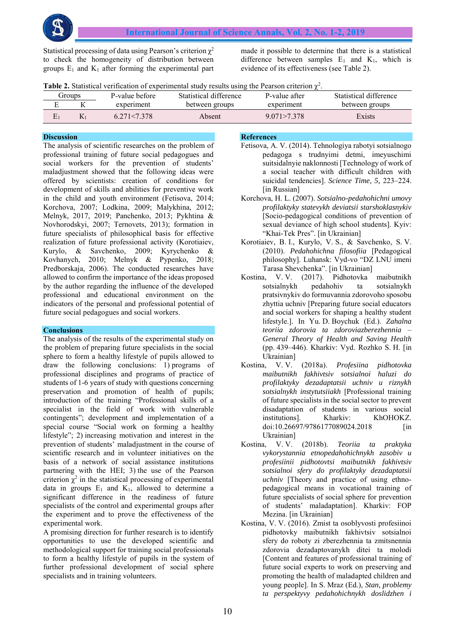Statistical processing of data using Pearson's criterion  $\chi^2$ to check the homogeneity of distribution between groups  $E_1$  and  $K_1$  after forming the experimental part made it possible to determine that there is a statistical difference between samples  $E_1$  and  $K_1$ , which is evidence of its effectiveness (see Table 2).

|  | Table 2. Statistical verification of experimental study results using the Pearson criterion $\chi^2$ . |  |  |  |  |  |
|--|--------------------------------------------------------------------------------------------------------|--|--|--|--|--|
|  |                                                                                                        |  |  |  |  |  |

| <b>droups</b> | P-value before | Statistical difference | P-value after | Statistical difference |
|---------------|----------------|------------------------|---------------|------------------------|
|               | experiment     | between groups         | experiment    | between groups         |
|               | 6 271 < 7 378  | Absent                 | 9.071 > 7.378 | Exists                 |

# **Discussion**

The analysis of scientific researches on the problem of professional training of future social pedagogues and social workers for the prevention of students' maladjustment showed that the following ideas were offered by scientists: creation of conditions for development of skills and abilities for preventive work in the child and youth environment (Fetisova, 2014; Korchova, 2007; Lodkina, 2009; Malykhina, 2012; Melnyk, 2017, 2019; Panchenko, 2013; Pykhtina & Novhorodskyi, 2007; Ternovets, 2013); formation in future specialists of philosophical basis for effective realization of future professional activity (Korotiaiev, Kurylo, & Savchenko, 2009; Kyrychenko & Kovhanych, 2010; Melnyk & Pypenko, 2018; Predborskaja, 2006). The conducted researches have allowed to confirm the importance of the ideas proposed by the author regarding the influence of the developed professional and educational environment on the indicators of the personal and professional potential of future social pedagogues and social workers.

#### **Conclusions**

The analysis of the results of the experimental study on the problem of preparing future specialists in the social sphere to form a healthy lifestyle of pupils allowed to draw the following conclusions: 1) programs of professional disciplines and programs of practice of students of 1-6 years of study with questions concerning preservation and promotion of health of pupils; introduction of the training "Professional skills of a specialist in the field of work with vulnerable contingents"; development and implementation of a special course "Social work on forming a healthy lifestyle"; 2) increasing motivation and interest in the prevention of students' maladjustment in the course of scientific research and in volunteer initiatives on the basis of a network of social assistance institutions partnering with the HEI; 3) the use of the Pearson criterion  $\chi^2$  in the statistical processing of experimental data in groups  $E_1$  and  $K_1$ , allowed to determine a significant difference in the readiness of future specialists of the control and experimental groups after the experiment and to prove the effectiveness of the experimental work.

A promising direction for further research is to identify opportunities to use the developed scientific and methodological support for training social professionals to form a healthy lifestyle of pupils in the system of further professional development of social sphere specialists and in training volunteers.

#### **References**

- Fetisova, A. V. (2014). Tehnologiya rabotyi sotsialnogo pedagoga s trudnyimi detmi, imeyuschimi suitsidalnyie naklonnosti [Technology of work of a social teacher with difficult children with suicidal tendencies]. *Science Time, 5,* 223–224. [in Russian]
- Korchova, H. L. (2007). *Sotsialno-pedahohichni umovy profilaktyky statevykh deviatsii starshoklasnykiv* [Socio-pedagogical conditions of prevention of sexual deviance of high school students]. Kyiv: "Khai-Tek Pres". [in Ukrainian]
- Korotiaiev, B. I., Kurylo, V. S., & Savchenko, S. V. (2010). *Pedahohichna filosofiia* [Pedagogical philosophy]. Luhansk: Vyd-vo "DZ LNU imeni Tarasa Shevchenka". [in Ukrainian]
- Kostina, V. V. (2017). Pidhotovka maibutnikh sotsialnykh pedahohiv ta sotsialnykh pratsivnykiv do formuvannia zdorovoho sposobu zhyttia uchniv [Preparing future social educators and social workers for shaping a healthy student lifestyle.]. In Yu. D. Boychuk (Ed.). *Zahalna teoriia zdorovia ta zdoroviazberezhennia – General Theory of Health and Saving Health* (pp. 439–446). Kharkiv: Vyd. Rozhko S. H. [in Ukrainian]<br>a, V.V.
- Kostina, V. V. (2018a). *Profesiina pidhotovka maibutnikh fakhivtsiv sotsialnoi haluzi do profilaktyky dezadaptatsii uchniv u riznykh sotsialnykh instytutsiiakh* [Professional training of future specialists in the social sector to prevent disadaptation of students in various social institutions]. Kharkiv: KhOHOKZ. doi:10.26697/9786177089024.2018 [in Ukrainian]
- Kostina, V. V. (2018b). *Teoriia ta praktyka vykorystannia etnopedahohichnykh zasobiv u profesiinii pidhotovtsi maibutnikh fakhivtsiv sotsialnoi sfery do profilaktyky dezadaptatsii uchniv* [Theory and practice of using ethnopedagogical means in vocational training of future specialists of social sphere for prevention of students' maladaptation]. Kharkiv: FOP Mezina. [in Ukrainian]
- Kostina, V. V. (2016). Zmist ta osoblyvosti profesiinoi pidhotovky maibutnikh fakhivtsiv sotsialnoi sfery do roboty zi zberezhennia ta zmitsnennia zdorovia dezadaptovanykh ditei ta molodi [Content and features of professional training of future social experts to work on preserving and promoting the health of maladapted children and young people]. In S. Mraz (Ed.), *Stan, problemy ta perspektyvy pedahohichnykh doslidzhen i*